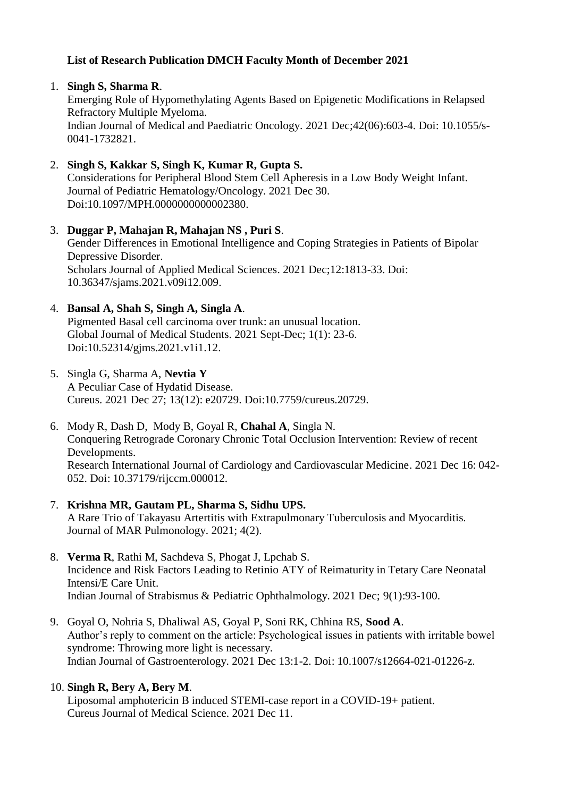# **List of Research Publication DMCH Faculty Month of December 2021**

### 1. **Singh S, Sharma R**.

Emerging Role of Hypomethylating Agents Based on Epigenetic Modifications in Relapsed Refractory Multiple Myeloma. Indian Journal of Medical and Paediatric Oncology. 2021 Dec;42(06):603-4. Doi: 10.1055/s-0041-1732821.

# 2. **Singh S, Kakkar S, Singh K, Kumar R, Gupta S.**

Considerations for Peripheral Blood Stem Cell Apheresis in a Low Body Weight Infant. Journal of Pediatric Hematology/Oncology. 2021 Dec 30. Doi:10.1097/MPH.0000000000002380.

3. **Duggar P, Mahajan R, Mahajan NS , Puri S**. Gender Differences in Emotional Intelligence and Coping Strategies in Patients of Bipolar Depressive Disorder. Scholars Journal of Applied Medical Sciences. 2021 Dec;12:1813-33. Doi: 10.36347/sjams.2021.v09i12.009.

### 4. **Bansal A, Shah S, Singh A, Singla A**.

Pigmented Basal cell carcinoma over trunk: an unusual location. Global Journal of Medical Students. 2021 Sept-Dec; 1(1): 23-6. Doi:10.52314/gjms.2021.v1i1.12.

- 5. Singla G, Sharma A, **Nevtia Y** A Peculiar Case of Hydatid Disease. Cureus. 2021 Dec 27; 13(12): e20729. Doi:10.7759/cureus.20729.
- 6. Mody R, Dash D, Mody B, Goyal R, **Chahal A**, Singla N. Conquering Retrograde Coronary Chronic Total Occlusion Intervention: Review of recent Developments. Research International Journal of Cardiology and Cardiovascular Medicine. 2021 Dec 16: 042- 052. Doi: 10.37179/rijccm.000012.
- 7. **Krishna MR, Gautam PL, Sharma S, Sidhu UPS.** A Rare Trio of Takayasu Artertitis with Extrapulmonary Tuberculosis and Myocarditis. Journal of MAR Pulmonology. 2021; 4(2).
- 8. **Verma R**, Rathi M, Sachdeva S, Phogat J, Lpchab S. Incidence and Risk Factors Leading to Retinio ATY of Reimaturity in Tetary Care Neonatal Intensi/E Care Unit. Indian Journal of Strabismus & Pediatric Ophthalmology. 2021 Dec; 9(1):93-100.
- 9. Goyal O, Nohria S, Dhaliwal AS, Goyal P, Soni RK, Chhina RS, **Sood A**. Author's reply to comment on the article: Psychological issues in patients with irritable bowel syndrome: Throwing more light is necessary. Indian Journal of Gastroenterology. 2021 Dec 13:1-2. Doi: 10.1007/s12664-021-01226-z.

#### 10. **Singh R, Bery A, Bery M**.

Liposomal amphotericin B induced STEMI-case report in a COVID-19+ patient. Cureus Journal of Medical Science. 2021 Dec 11.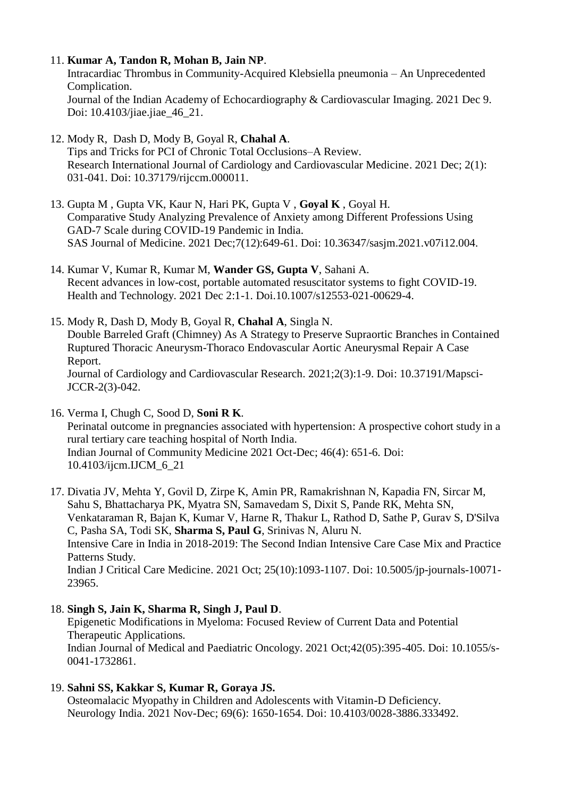#### 11. **Kumar A, Tandon R, Mohan B, Jain NP**.

Intracardiac Thrombus in Community-Acquired Klebsiella pneumonia – An Unprecedented Complication. Journal of the Indian Academy of Echocardiography & Cardiovascular Imaging. 2021 Dec 9. Doi: 10.4103/jiae.jiae 46 21.

- 12. Mody R, Dash D, Mody B, Goyal R, **Chahal A**. Tips and Tricks for PCI of Chronic Total Occlusions–A Review. Research International Journal of Cardiology and Cardiovascular Medicine. 2021 Dec; 2(1): 031-041. Doi: 10.37179/rijccm.000011.
- 13. Gupta M , Gupta VK, Kaur N, Hari PK, Gupta V , **Goyal K** , Goyal H. Comparative Study Analyzing Prevalence of Anxiety among Different Professions Using GAD-7 Scale during COVID-19 Pandemic in India. SAS Journal of Medicine. 2021 Dec;7(12):649-61. Doi: 10.36347/sasjm.2021.v07i12.004.
- 14. Kumar V, Kumar R, Kumar M, **Wander GS, Gupta V**, Sahani A. Recent advances in low-cost, portable automated resuscitator systems to fight COVID-19. Health and Technology. 2021 Dec 2:1-1. Doi.10.1007/s12553-021-00629-4.
- 15. Mody R, Dash D, Mody B, Goyal R, **Chahal A**, Singla N. Double Barreled Graft (Chimney) As A Strategy to Preserve Supraortic Branches in Contained Ruptured Thoracic Aneurysm-Thoraco Endovascular Aortic Aneurysmal Repair A Case Report. Journal of Cardiology and Cardiovascular Research. 2021;2(3):1-9. Doi: 10.37191/Mapsci-JCCR-2(3)-042.
- 16. Verma I, Chugh C, Sood D, **Soni R K**. Perinatal outcome in pregnancies associated with hypertension: A prospective cohort study in a rural tertiary care teaching hospital of North India. Indian Journal of Community Medicine 2021 Oct-Dec; 46(4): 651-6. Doi: 10.4103/ijcm.IJCM\_6\_21

17. Divatia JV, Mehta Y, Govil D, Zirpe K, Amin PR, Ramakrishnan N, Kapadia FN, Sircar M, Sahu S, Bhattacharya PK, Myatra SN, Samavedam S, Dixit S, Pande RK, Mehta SN, Venkataraman R, Bajan K, Kumar V, Harne R, Thakur L, Rathod D, Sathe P, Gurav S, D'Silva C, Pasha SA, Todi SK, **Sharma S, Paul G**, Srinivas N, Aluru N. Intensive Care in India in 2018-2019: The Second Indian Intensive Care Case Mix and Practice Patterns Study. Indian J Critical Care Medicine. 2021 Oct; 25(10):1093-1107. Doi: 10.5005/jp-journals-10071- 23965.

### 18. **Singh S, Jain K, Sharma R, Singh J, Paul D**.

Epigenetic Modifications in Myeloma: Focused Review of Current Data and Potential Therapeutic Applications. Indian Journal of Medical and Paediatric Oncology. 2021 Oct;42(05):395-405. Doi: 10.1055/s-0041-1732861.

### 19. **Sahni SS, Kakkar S, Kumar R, Goraya JS.**

Osteomalacic Myopathy in Children and Adolescents with Vitamin-D Deficiency. Neurology India. 2021 Nov-Dec; 69(6): 1650-1654. Doi: 10.4103/0028-3886.333492.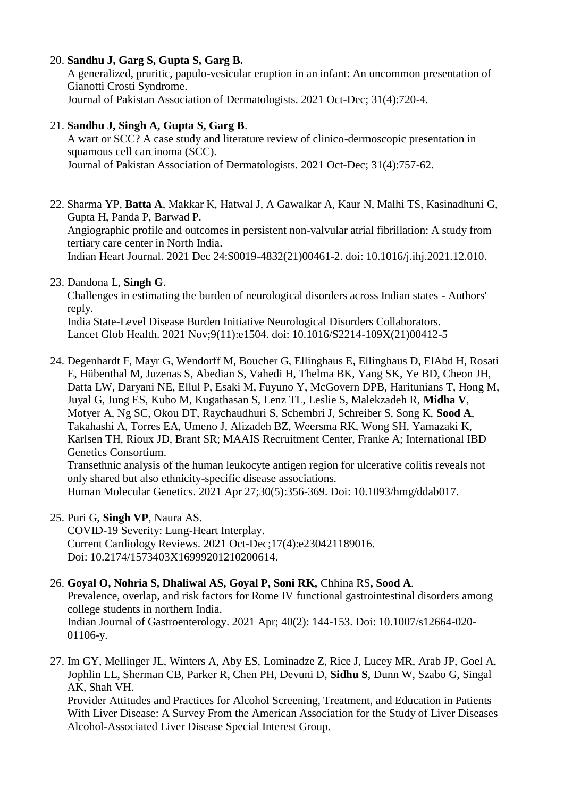# 20. **Sandhu J, Garg S, Gupta S, Garg B.**

A generalized, pruritic, papulo-vesicular eruption in an infant: An uncommon presentation of Gianotti Crosti Syndrome. Journal of Pakistan Association of Dermatologists. 2021 Oct-Dec; 31(4):720-4.

# 21. **Sandhu J, Singh A, Gupta S, Garg B**.

A wart or SCC? A case study and literature review of clinico-dermoscopic presentation in squamous cell carcinoma (SCC). Journal of Pakistan Association of Dermatologists. 2021 Oct-Dec; 31(4):757-62.

22. Sharma YP, **Batta A**, Makkar K, Hatwal J, A Gawalkar A, Kaur N, Malhi TS, Kasinadhuni G, Gupta H, Panda P, Barwad P. Angiographic profile and outcomes in persistent non-valvular atrial fibrillation: A study from tertiary care center in North India. Indian Heart Journal. 2021 Dec 24:S0019-4832(21)00461-2. doi: 10.1016/j.ihj.2021.12.010.

# 23. Dandona L, **Singh G**.

Challenges in estimating the burden of neurological disorders across Indian states - Authors' reply.

India State-Level Disease Burden Initiative Neurological Disorders Collaborators. Lancet Glob Health. 2021 Nov;9(11):e1504. doi: 10.1016/S2214-109X(21)00412-5

24. Degenhardt F, Mayr G, Wendorff M, Boucher G, Ellinghaus E, Ellinghaus D, ElAbd H, Rosati E, Hübenthal M, Juzenas S, Abedian S, Vahedi H, Thelma BK, Yang SK, Ye BD, Cheon JH, Datta LW, Daryani NE, Ellul P, Esaki M, Fuyuno Y, McGovern DPB, Haritunians T, Hong M, Juyal G, Jung ES, Kubo M, Kugathasan S, Lenz TL, Leslie S, Malekzadeh R, **Midha V**, Motyer A, Ng SC, Okou DT, Raychaudhuri S, Schembri J, Schreiber S, Song K, **Sood A**, Takahashi A, Torres EA, Umeno J, Alizadeh BZ, Weersma RK, Wong SH, Yamazaki K, Karlsen TH, Rioux JD, Brant SR; MAAIS Recruitment Center, Franke A; International IBD Genetics Consortium.

Transethnic analysis of the human leukocyte antigen region for ulcerative colitis reveals not only shared but also ethnicity-specific disease associations.

Human Molecular Genetics. 2021 Apr 27;30(5):356-369. Doi: 10.1093/hmg/ddab017.

25. Puri G, **Singh VP**, Naura AS.

COVID-19 Severity: Lung-Heart Interplay. Current Cardiology Reviews. 2021 Oct-Dec;17(4):e230421189016. Doi: 10.2174/1573403X16999201210200614.

# 26. **Goyal O, Nohria S, Dhaliwal AS, Goyal P, Soni RK,** Chhina RS**, Sood A**.

Prevalence, overlap, and risk factors for Rome IV functional gastrointestinal disorders among college students in northern India. Indian Journal of Gastroenterology. 2021 Apr; 40(2): 144-153. Doi: 10.1007/s12664-020- 01106-y.

27. Im GY, Mellinger JL, Winters A, Aby ES, Lominadze Z, Rice J, Lucey MR, Arab JP, Goel A, Jophlin LL, Sherman CB, Parker R, Chen PH, Devuni D, **Sidhu S**, Dunn W, Szabo G, Singal AK, Shah VH.

Provider Attitudes and Practices for Alcohol Screening, Treatment, and Education in Patients With Liver Disease: A Survey From the American Association for the Study of Liver Diseases Alcohol-Associated Liver Disease Special Interest Group.